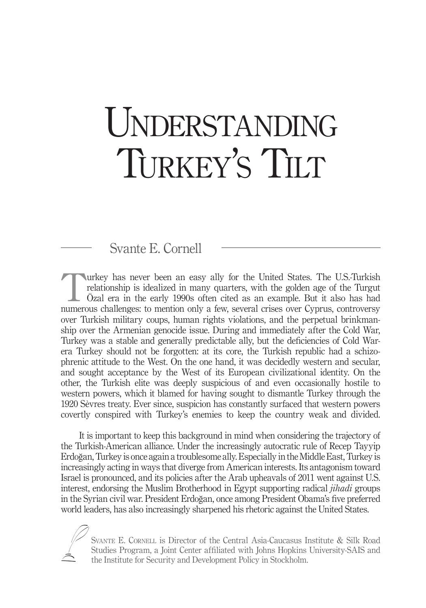# UNDERSTANDING TURKEY'S TILT

## Svante E. Cornell

urkey has never been an easy ally for the United States. The U.S.-Turkish relationship is idealized in many quarters, with the golden age of the Turgut Özal era in the early 1990s often cited as an example. But it also has had numerous challenges: to mention only a few, several crises over Cyprus, controversy over Turkish military coups, human rights violations, and the perpetual brinkmanship over the Armenian genocide issue. During and immediately after the Cold War, Turkey was a stable and generally predictable ally, but the deficiencies of Cold Warera Turkey should not be forgotten: at its core, the Turkish republic had a schizophrenic attitude to the West. On the one hand, it was decidedly western and secular, and sought acceptance by the West of its European civilizational identity. On the other, the Turkish elite was deeply suspicious of and even occasionally hostile to western powers, which it blamed for having sought to dismantle Turkey through the 1920 Sèvres treaty. Ever since, suspicion has constantly surfaced that western powers covertly conspired with Turkey's enemies to keep the country weak and divided.

It is important to keep this background in mind when considering the trajectory of the Turkish-American alliance. Under the increasingly autocratic rule of Recep Tayyip Erdoğan, Turkey is once again a troublesome ally. Especially in the Middle East, Turkey is increasingly acting in ways that diverge from American interests. Its antagonism toward Israel is pronounced, and its policies after the Arab upheavals of 2011 went against U.S. interest, endorsing the Muslim Brotherhood in Egypt supporting radical *jihadi* groups in the Syrian civil war. President Erdoğan, once among President Obama's five preferred world leaders, has also increasingly sharpened his rhetoric against the United States.

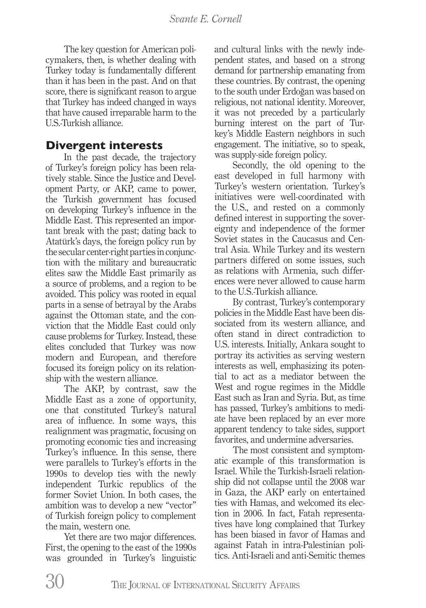The key question for American policymakers, then, is whether dealing with Turkey today is fundamentally different than it has been in the past. And on that score, there is significant reason to argue that Turkey has indeed changed in ways that have caused irreparable harm to the U.S.-Turkish alliance.

## **Divergent interests**

In the past decade, the trajectory of Turkey's foreign policy has been relatively stable. Since the Justice and Development Party, or AKP, came to power, the Turkish government has focused on developing Turkey's influence in the Middle East. This represented an important break with the past; dating back to Atatürk's days, the foreign policy run by the secular center-right parties in conjunction with the military and bureaucratic elites saw the Middle East primarily as a source of problems, and a region to be avoided. This policy was rooted in equal parts in a sense of betrayal by the Arabs against the Ottoman state, and the conviction that the Middle East could only cause problems for Turkey. Instead, these elites concluded that Turkey was now modern and European, and therefore focused its foreign policy on its relationship with the western alliance.

The AKP, by contrast, saw the Middle East as a zone of opportunity, one that constituted Turkey's natural area of influence. In some ways, this realignment was pragmatic, focusing on promoting economic ties and increasing Turkey's influence. In this sense, there were parallels to Turkey's efforts in the 1990s to develop ties with the newly independent Turkic republics of the former Soviet Union. In both cases, the ambition was to develop a new "vector" of Turkish foreign policy to complement the main, western one.

Yet there are two major differences. First, the opening to the east of the 1990s was grounded in Turkey's linguistic and cultural links with the newly independent states, and based on a strong demand for partnership emanating from these countries. By contrast, the opening to the south under Erdoğan was based on religious, not national identity. Moreover, it was not preceded by a particularly burning interest on the part of Turkey's Middle Eastern neighbors in such engagement. The initiative, so to speak, was supply-side foreign policy.

Secondly, the old opening to the east developed in full harmony with Turkey's western orientation. Turkey's initiatives were well-coordinated with the U.S., and rested on a commonly defined interest in supporting the sovereignty and independence of the former Soviet states in the Caucasus and Central Asia. While Turkey and its western partners differed on some issues, such as relations with Armenia, such differences were never allowed to cause harm to the U.S.-Turkish alliance.

By contrast, Turkey's contemporary policies in the Middle East have been dissociated from its western alliance, and often stand in direct contradiction to U.S. interests. Initially, Ankara sought to portray its activities as serving western interests as well, emphasizing its potential to act as a mediator between the West and rogue regimes in the Middle East such as Iran and Syria. But, as time has passed, Turkey's ambitions to mediate have been replaced by an ever more apparent tendency to take sides, support favorites, and undermine adversaries.

The most consistent and symptomatic example of this transformation is Israel. While the Turkish-Israeli relationship did not collapse until the 2008 war in Gaza, the AKP early on entertained ties with Hamas, and welcomed its election in 2006. In fact, Fatah representatives have long complained that Turkey has been biased in favor of Hamas and against Fatah in intra-Palestinian politics. Anti-Israeli and anti-Semitic themes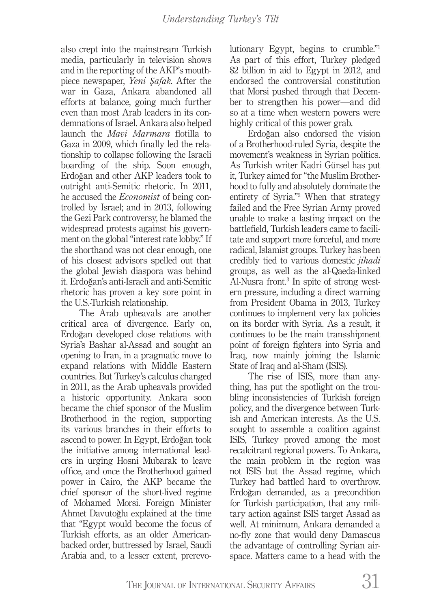also crept into the mainstream Turkish media, particularly in television shows and in the reporting of the AKP's mouthpiece newspaper, *Yeni Şafak*. After the war in Gaza, Ankara abandoned all efforts at balance, going much further even than most Arab leaders in its condemnations of Israel. Ankara also helped launch the *Mavi Marmara* flotilla to Gaza in 2009, which finally led the relationship to collapse following the Israeli boarding of the ship. Soon enough, Erdoğan and other AKP leaders took to outright anti-Semitic rhetoric. In 2011, he accused the *Economist* of being controlled by Israel; and in 2013, following the Gezi Park controversy, he blamed the widespread protests against his government on the global "interest rate lobby." If the shorthand was not clear enough, one of his closest advisors spelled out that the global Jewish diaspora was behind it. Erdoğan's anti-Israeli and anti-Semitic rhetoric has proven a key sore point in the U.S.-Turkish relationship.

The Arab upheavals are another critical area of divergence. Early on, Erdoğan developed close relations with Syria's Bashar al-Assad and sought an opening to Iran, in a pragmatic move to expand relations with Middle Eastern countries. But Turkey's calculus changed in 2011, as the Arab upheavals provided a historic opportunity. Ankara soon became the chief sponsor of the Muslim Brotherhood in the region, supporting its various branches in their efforts to ascend to power. In Egypt, Erdoğan took the initiative among international leaders in urging Hosni Mubarak to leave office, and once the Brotherhood gained power in Cairo, the AKP became the chief sponsor of the short-lived regime of Mohamed Morsi. Foreign Minister Ahmet Davutoğlu explained at the time that "Egypt would become the focus of Turkish efforts, as an older Americanbacked order, buttressed by Israel, Saudi Arabia and, to a lesser extent, prerevolutionary Egypt, begins to crumble."1 As part of this effort, Turkey pledged \$2 billion in aid to Egypt in 2012, and endorsed the controversial constitution that Morsi pushed through that December to strengthen his power—and did so at a time when western powers were highly critical of this power grab.

Erdoğan also endorsed the vision of a Brotherhood-ruled Syria, despite the movement's weakness in Syrian politics. As Turkish writer Kadri Gürsel has put it, Turkey aimed for "the Muslim Brotherhood to fully and absolutely dominate the entirety of Syria."2 When that strategy failed and the Free Syrian Army proved unable to make a lasting impact on the battlefield, Turkish leaders came to facilitate and support more forceful, and more radical, Islamist groups. Turkey has been credibly tied to various domestic *jihadi*  groups, as well as the al-Qaeda-linked Al-Nusra front.3 In spite of strong western pressure, including a direct warning from President Obama in 2013, Turkey continues to implement very lax policies on its border with Syria. As a result, it continues to be the main transshipment point of foreign fighters into Syria and Iraq, now mainly joining the Islamic State of Iraq and al-Sham (ISIS).

The rise of ISIS, more than anything, has put the spotlight on the troubling inconsistencies of Turkish foreign policy, and the divergence between Turkish and American interests. As the U.S. sought to assemble a coalition against ISIS, Turkey proved among the most recalcitrant regional powers. To Ankara, the main problem in the region was not ISIS but the Assad regime, which Turkey had battled hard to overthrow. Erdoğan demanded, as a precondition for Turkish participation, that any military action against ISIS target Assad as well. At minimum, Ankara demanded a no-fly zone that would deny Damascus the advantage of controlling Syrian airspace. Matters came to a head with the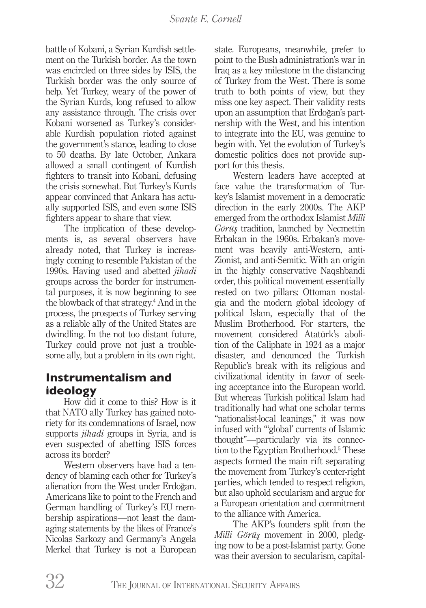#### *Svante E. Cornell*

battle of Kobani, a Syrian Kurdish settlement on the Turkish border. As the town was encircled on three sides by ISIS, the Turkish border was the only source of help. Yet Turkey, weary of the power of the Syrian Kurds, long refused to allow any assistance through. The crisis over Kobani worsened as Turkey's considerable Kurdish population rioted against the government's stance, leading to close to 50 deaths. By late October, Ankara allowed a small contingent of Kurdish fighters to transit into Kobani, defusing the crisis somewhat. But Turkey's Kurds appear convinced that Ankara has actually supported ISIS, and even some ISIS fighters appear to share that view.

The implication of these developments is, as several observers have already noted, that Turkey is increasingly coming to resemble Pakistan of the 1990s. Having used and abetted *jihadi*  groups across the border for instrumental purposes, it is now beginning to see the blowback of that strategy.<sup>4</sup> And in the process, the prospects of Turkey serving as a reliable ally of the United States are dwindling. In the not too distant future, Turkey could prove not just a troublesome ally, but a problem in its own right.

## **Instrumentalism and ideology**

How did it come to this? How is it that NATO ally Turkey has gained notoriety for its condemnations of Israel, now supports *jihadi* groups in Syria, and is even suspected of abetting ISIS forces across its border?

Western observers have had a tendency of blaming each other for Turkey's alienation from the West under Erdoğan. Americans like to point to the French and German handling of Turkey's EU membership aspirations—not least the damaging statements by the likes of France's Nicolas Sarkozy and Germany's Angela Merkel that Turkey is not a European state. Europeans, meanwhile, prefer to point to the Bush administration's war in Iraq as a key milestone in the distancing of Turkey from the West. There is some truth to both points of view, but they miss one key aspect. Their validity rests upon an assumption that Erdoğan's partnership with the West, and his intention to integrate into the EU, was genuine to begin with. Yet the evolution of Turkey's domestic politics does not provide support for this thesis.

Western leaders have accepted at face value the transformation of Turkey's Islamist movement in a democratic direction in the early 2000s. The AKP emerged from the orthodox Islamist *Milli Görüş* tradition, launched by Necmettin Erbakan in the 1960s. Erbakan's movement was heavily anti-Western, anti-Zionist, and anti-Semitic. With an origin in the highly conservative Naqshbandi order, this political movement essentially rested on two pillars: Ottoman nostalgia and the modern global ideology of political Islam, especially that of the Muslim Brotherhood. For starters, the movement considered Atatürk's abolition of the Caliphate in 1924 as a major disaster, and denounced the Turkish Republic's break with its religious and civilizational identity in favor of seeking acceptance into the European world. But whereas Turkish political Islam had traditionally had what one scholar terms "nationalist-local leanings," it was now infused with "'global' currents of Islamic thought"—particularly via its connection to the Egyptian Brotherhood.<sup>5</sup> These aspects formed the main rift separating the movement from Turkey's center-right parties, which tended to respect religion, but also uphold secularism and argue for a European orientation and commitment to the alliance with America.

The AKP's founders split from the *Milli Görüş* movement in 2000, pledging now to be a post-Islamist party. Gone was their aversion to secularism, capital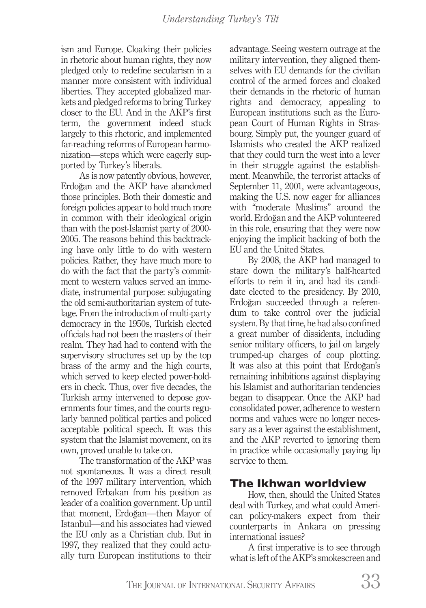ism and Europe. Cloaking their policies in rhetoric about human rights, they now pledged only to redefine secularism in a manner more consistent with individual liberties. They accepted globalized markets and pledged reforms to bring Turkey closer to the EU. And in the AKP's first term, the government indeed stuck largely to this rhetoric, and implemented far-reaching reforms of European harmonization—steps which were eagerly supported by Turkey's liberals.

As is now patently obvious, however, Erdoğan and the AKP have abandoned those principles. Both their domestic and foreign policies appear to hold much more in common with their ideological origin than with the post-Islamist party of 2000- 2005. The reasons behind this backtracking have only little to do with western policies. Rather, they have much more to do with the fact that the party's commitment to western values served an immediate, instrumental purpose: subjugating the old semi-authoritarian system of tutelage. From the introduction of multi-party democracy in the 1950s, Turkish elected officials had not been the masters of their realm. They had had to contend with the supervisory structures set up by the top brass of the army and the high courts, which served to keep elected power-holders in check. Thus, over five decades, the Turkish army intervened to depose governments four times, and the courts regularly banned political parties and policed acceptable political speech. It was this system that the Islamist movement, on its own, proved unable to take on.

The transformation of the AKP was not spontaneous. It was a direct result of the 1997 military intervention, which removed Erbakan from his position as leader of a coalition government. Up until that moment, Erdoğan—then Mayor of Istanbul—and his associates had viewed the EU only as a Christian club. But in 1997, they realized that they could actually turn European institutions to their

advantage. Seeing western outrage at the military intervention, they aligned themselves with EU demands for the civilian control of the armed forces and cloaked their demands in the rhetoric of human rights and democracy, appealing to European institutions such as the European Court of Human Rights in Strasbourg. Simply put, the younger guard of Islamists who created the AKP realized that they could turn the west into a lever in their struggle against the establishment. Meanwhile, the terrorist attacks of September 11, 2001, were advantageous, making the U.S. now eager for alliances with "moderate Muslims" around the world. Erdoğan and the AKP volunteered in this role, ensuring that they were now enjoying the implicit backing of both the EU and the United States.

By 2008, the AKP had managed to stare down the military's half-hearted efforts to rein it in, and had its candidate elected to the presidency. By 2010, Erdoğan succeeded through a referendum to take control over the judicial system. By that time, he had also confined a great number of dissidents, including senior military officers, to jail on largely trumped-up charges of coup plotting. It was also at this point that Erdoğan's remaining inhibitions against displaying his Islamist and authoritarian tendencies began to disappear. Once the AKP had consolidated power, adherence to western norms and values were no longer necessary as a lever against the establishment, and the AKP reverted to ignoring them in practice while occasionally paying lip service to them.

## **The Ikhwan worldview**

How, then, should the United States deal with Turkey, and what could American policy-makers expect from their counterparts in Ankara on pressing international issues?

A first imperative is to see through what is left of the AKP's smokescreen and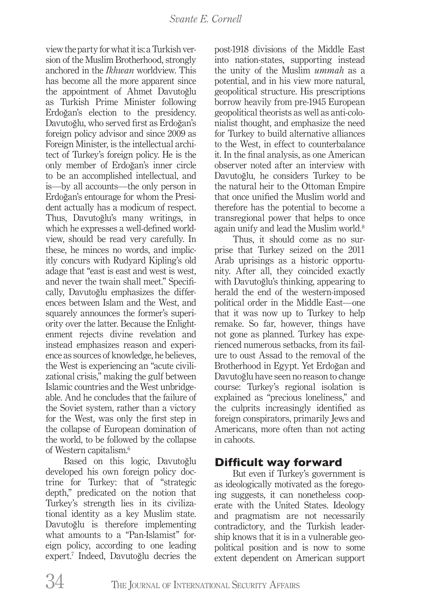view the party for what it is: a Turkish version of the Muslim Brotherhood, strongly anchored in the *Ikhwan* worldview. This has become all the more apparent since the appointment of Ahmet Davutoğlu as Turkish Prime Minister following Erdoğan's election to the presidency. Davutoğlu, who served first as Erdoğan's foreign policy advisor and since 2009 as Foreign Minister, is the intellectual architect of Turkey's foreign policy. He is the only member of Erdoğan's inner circle to be an accomplished intellectual, and is—by all accounts—the only person in Erdoğan's entourage for whom the President actually has a modicum of respect. Thus, Davutoğlu's many writings, in which he expresses a well-defined worldview, should be read very carefully. In these, he minces no words, and implicitly concurs with Rudyard Kipling's old adage that "east is east and west is west, and never the twain shall meet." Specifically, Davutoğlu emphasizes the differences between Islam and the West, and squarely announces the former's superiority over the latter. Because the Enlightenment rejects divine revelation and instead emphasizes reason and experience as sources of knowledge, he believes, the West is experiencing an "acute civilizational crisis," making the gulf between Islamic countries and the West unbridgeable. And he concludes that the failure of the Soviet system, rather than a victory for the West, was only the first step in the collapse of European domination of the world, to be followed by the collapse of Western capitalism.6

Based on this logic, Davutoğlu developed his own foreign policy doctrine for Turkey: that of "strategic depth," predicated on the notion that Turkey's strength lies in its civilizational identity as a key Muslim state. Davutoğlu is therefore implementing what amounts to a "Pan-Islamist" foreign policy, according to one leading expert.7 Indeed, Davutoğlu decries the post-1918 divisions of the Middle East into nation-states, supporting instead the unity of the Muslim *ummah* as a potential, and in his view more natural, geopolitical structure. His prescriptions borrow heavily from pre-1945 European geopolitical theorists as well as anti-colonialist thought, and emphasize the need for Turkey to build alternative alliances to the West, in effect to counterbalance it. In the final analysis, as one American observer noted after an interview with Davutoğlu, he considers Turkey to be the natural heir to the Ottoman Empire that once unified the Muslim world and therefore has the potential to become a transregional power that helps to once again unify and lead the Muslim world.<sup>8</sup>

Thus, it should come as no surprise that Turkey seized on the 2011 Arab uprisings as a historic opportunity. After all, they coincided exactly with Davutoğlu's thinking, appearing to herald the end of the western-imposed political order in the Middle East—one that it was now up to Turkey to help remake. So far, however, things have not gone as planned. Turkey has experienced numerous setbacks, from its failure to oust Assad to the removal of the Brotherhood in Egypt. Yet Erdoğan and Davutoğlu have seen no reason to change course: Turkey's regional isolation is explained as "precious loneliness," and the culprits increasingly identified as foreign conspirators, primarily Jews and Americans, more often than not acting in cahoots.

## **Difficult way forward**

But even if Turkey's government is as ideologically motivated as the foregoing suggests, it can nonetheless cooperate with the United States. Ideology and pragmatism are not necessarily contradictory, and the Turkish leadership knows that it is in a vulnerable geopolitical position and is now to some extent dependent on American support